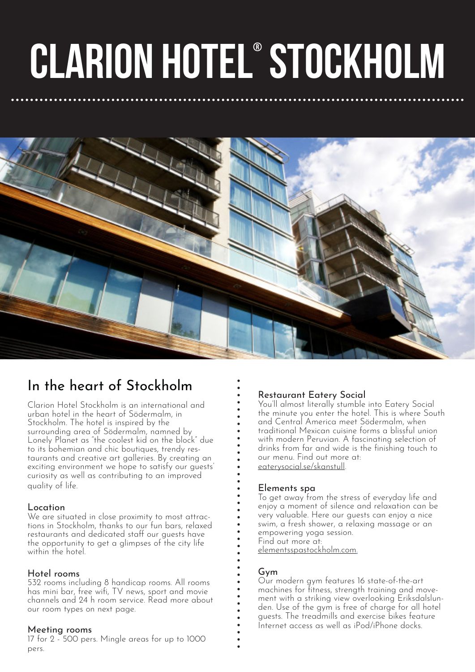# clarion HOTEL® stockholm



## In the heart of Stockholm

Clarion Hotel Stockholm is an international and urban hotel in the heart of Södermalm, in Stockholm. The hotel is inspired by the surrounding area of Södermalm, namned by Lonely Planet as "the coolest kid on the block" due to its bohemian and chic boutiques, trendy restaurants and creative art galleries. By creating an exciting environment we hope to satisfy our guests' curiosity as well as contributing to an improved quality of life.

Location<br>We are situated in close proximity to most attractions in Stockholm, thanks to our fun bars, relaxed restaurants and dedicated staff our guests have the opportunity to get a glimpses of the city life within the hotel

#### Hotel rooms

532 rooms including 8 handicap rooms. All rooms has mini bar, free wifi, TV news, sport and movie channels and 24 h room service. Read more about our room types on next page.

#### Meeting rooms

17 for 2 - 500 pers. Mingle areas for up to 1000 pers.

#### Restaurant Eatery Social

You'll almost literally stumble into Eatery Social the minute you enter the hotel. This is where South and Central America meet Södermalm, when traditional Mexican cuisine forms a blissful union with modern Peruvian. A fascinating selection of drinks from far and wide is the finishing touch to our menu. Find out more at: eaterysocial.se/skanstull.

#### Elements spa

To get away from the stress of everyday life and enjoy a moment of silence and relaxation can be very valuable. Here our guests can enjoy a nice swim, a fresh shower, a relaxing massage or an empowering yoga session. Find out more at: elementsspastockholm.com.

#### Gym

Our modern gym features 16 state-of-the-art machines for fitness, strength training and movement with a striking view overlooking Eriksdalslunden. Use of the gym is free of charge for all hotel guests. The treadmills and exercise bikes feature Internet access as well as iPod/iPhone docks.